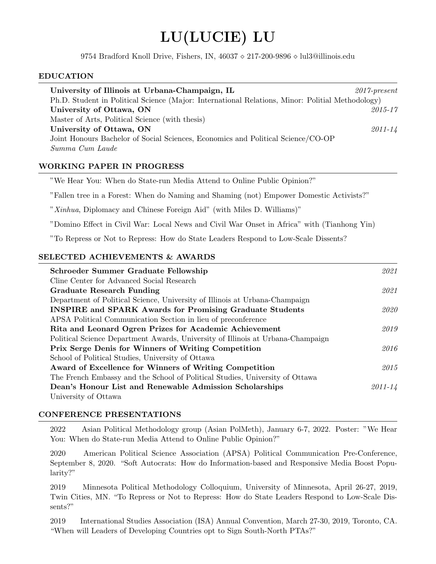# LU(LUCIE) LU

9754 Bradford Knoll Drive, Fishers, IN,  $46037 \diamond 217-200-9896 \diamond$  lul3@illinois.edu

# EDUCATION

| University of Illinois at Urbana-Champaign, IL                                                   | $2017$ -present |
|--------------------------------------------------------------------------------------------------|-----------------|
| Ph.D. Student in Political Science (Major: International Relations, Minor: Politial Methodology) |                 |
| University of Ottawa, ON                                                                         | $2015 - 17$     |
| Master of Arts, Political Science (with thesis)                                                  |                 |
| University of Ottawa, ON                                                                         | $2011 - 14$     |
| Joint Honours Bachelor of Social Sciences, Economics and Political Science/CO-OP                 |                 |
| Summa Cum Laude                                                                                  |                 |
|                                                                                                  |                 |

# WORKING PAPER IN PROGRESS

"We Hear You: When do State-run Media Attend to Online Public Opinion?"

"Fallen tree in a Forest: When do Naming and Shaming (not) Empower Domestic Activists?"

"Xinhua, Diplomacy and Chinese Foreign Aid" (with Miles D. Williams)"

"Domino Effect in Civil War: Local News and Civil War Onset in Africa" with (Tianhong Yin)

"To Repress or Not to Repress: How do State Leaders Respond to Low-Scale Dissents?

#### SELECTED ACHIEVEMENTS & AWARDS

| Schroeder Summer Graduate Fellowship                                            | 2021        |
|---------------------------------------------------------------------------------|-------------|
| Cline Center for Advanced Social Research                                       |             |
| <b>Graduate Research Funding</b>                                                | 2021        |
| Department of Political Science, University of Illinois at Urbana-Champaign     |             |
| <b>INSPIRE</b> and <b>SPARK</b> Awards for Promising Graduate Students          | 2020        |
| APSA Political Communication Section in lieu of preconference                   |             |
| Rita and Leonard Ogren Prizes for Academic Achievement                          | 2019        |
| Political Science Department Awards, University of Illinois at Urbana-Champaign |             |
| <b>Prix Serge Denis for Winners of Writing Competition</b>                      | 2016        |
| School of Political Studies, University of Ottawa                               |             |
| Award of Excellence for Winners of Writing Competition                          | 2015        |
| The French Embassy and the School of Political Studies, University of Ottawa    |             |
| Dean's Honour List and Renewable Admission Scholarships                         | $2011 - 14$ |
| University of Ottawa                                                            |             |

#### CONFERENCE PRESENTATIONS

2022 Asian Political Methodology group (Asian PolMeth), January 6-7, 2022. Poster: "We Hear You: When do State-run Media Attend to Online Public Opinion?"

2020 American Political Science Association (APSA) Political Communication Pre-Conference, September 8, 2020. "Soft Autocrats: How do Information-based and Responsive Media Boost Popularity?"

2019 Minnesota Political Methodology Colloquium, University of Minnesota, April 26-27, 2019, Twin Cities, MN. "To Repress or Not to Repress: How do State Leaders Respond to Low-Scale Dissents?"

2019 International Studies Association (ISA) Annual Convention, March 27-30, 2019, Toronto, CA. "When will Leaders of Developing Countries opt to Sign South-North PTAs?"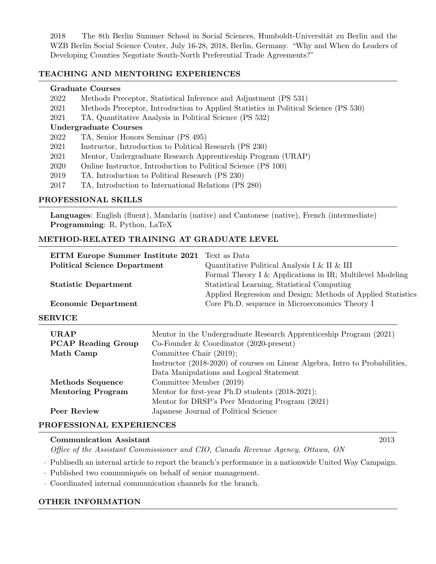2018 The 8th Berlin Summer School in Social Sciences, Humboldt-Universität zu Berlin and the WZB Berlin Social Science Center, July 16-28, 2018, Berlin, Germany. "Why and When do Leaders of Developing Counties Negotiate South-North Preferential Trade Agreements?"

## TEACHING AND MENTORING EXPERIENCES

#### Graduate Courses

- 2022 Methods Preceptor, Statistical Inference and Adjustment (PS 531)
- 2021 Methods Preceptor, Introduction to Applied Statistics in Political Science (PS 530)
- 2021 TA, Quantitative Analysis in Political Science (PS 532)

## Undergraduate Courses

- 2022 TA, Senior Honors Seminar (PS 495)
- 2021 Instructor, Introduction to Political Research (PS 230)
- 2021 Mentor, Undergraduate Research Apprenticeship Program (URAP)
- 2020 Online Instructor, Introduction to Political Science (PS 100)
- 2019 TA, Introduction to Political Research (PS 230)
- 2017 TA, Introduction to International Relations (PS 280)

# PROFESSIONAL SKILLS

Languages: English (fluent), Mandarin (native) and Cantonese (native), French (intermediate) Programming: R, Python, LaTeX

# METHOD-RELATED TRAINING AT GRADUATE LEVEL

| <b>EITM Europe Summer Institute 2021</b> Text as Data |                                                              |
|-------------------------------------------------------|--------------------------------------------------------------|
| <b>Political Science Department</b>                   | Quantitative Political Analysis I & II & III                 |
|                                                       | Formal Theory I & Applications in IR; Multilevel Modeling    |
| <b>Statistic Department</b>                           | Statistical Learning, Statistical Computing                  |
|                                                       | Applied Regression and Design; Methods of Applied Statistics |
| <b>Economic Department</b>                            | Core Ph.D. sequence in Microeconomics Theory I               |
|                                                       |                                                              |

#### SERVICE

| <b>URAP</b><br><b>PCAP Reading Group</b><br>Math Camp | Mentor in the Undergraduate Research Apprenticeship Program (2021)<br>Co-Founder & Coordinator $(2020$ -present)<br>Committee Chair $(2019)$ ; |
|-------------------------------------------------------|------------------------------------------------------------------------------------------------------------------------------------------------|
|                                                       | Instructor (2018-2020) of courses on Linear Algebra, Intro to Probabilities,                                                                   |
|                                                       | Data Manipulations and Logical Statement                                                                                                       |
| <b>Methods Sequence</b>                               | Committee Member (2019)                                                                                                                        |
| <b>Mentoring Program</b>                              | Mentor for first-year Ph.D students (2018-2021);                                                                                               |
|                                                       | Mentor for DRSP's Peer Mentoring Program (2021)                                                                                                |
| Peer Review                                           | Japanese Journal of Political Science                                                                                                          |

# PROFESSIONAL EXPERIENCES

#### Communication Assistant 2013

Office of the Assistant Commissioner and CIO, Canada Revenue Agency, Ottawa, ON

· Publisedh an internal article to report the branch's performance in a nationwide United Way Campaign.

- Published two communiqués on behalf of senior management.
- · Coordinated internal communication channels for the branch.

# OTHER INFORMATION